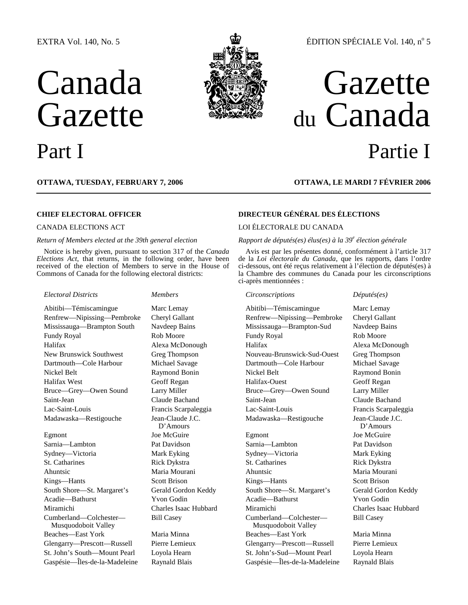#### EXTRA Vol. 140, No. 5

# Canada Gazette



## ÉDITION SPÉCIALE Vol. 140, nº 5

## Gazette du Canada Part I Partie I

**OTTAWA, TUESDAY, FEBRUARY 7, 2006 OTTAWA, LE MARDI 7 FÉVRIER 2006**

#### *Return of Members elected at the 39th general election*

Notice is hereby given, pursuant to section 317 of the *Canada Elections Act*, that returns, in the following order, have been received of the election of Members to serve in the House of Commons of Canada for the following electoral districts:

#### *Electoral Districts Members Circonscriptions Députés(es)*

Madawaska—Restigouche Jean-Claude J.C.

Egmont Joe McGuire Egmont Joe McGuire Sarnia—Lambton Pat Davidson Sarnia—Lambton Pat Davidson Sydney—Victoria Mark Eyking Sydney—Victoria Mark Eyking St. Catharines **Rick Dykstra** St. Catharines Rick Dykstra St. Catharines Rick Dykstra Ahuntsic Maria Mourani Ahuntsic Maria Mourani Kings—Hants Scott Brison Kings—Hants Scott Brison South Shore—St. Margaret's Gerald Gordon Keddy South Shore—St. Margaret's Gerald Gordon Keddy Acadie—Bathurst Yvon Godin Acadie—Bathurst Yvon Godin Miramichi Charles Isaac Hubbard Miramichi Charles Isaac Hubbard Cumberland—Colchester— Musquodoboit Valley Beaches—East York Maria Minna Beaches—East York Maria Minna Glengarry—Prescott—Russell Pierre Lemieux Glengarry—Prescott—Russell Pierre Lemieux St. John's South—Mount Pearl Loyola Hearn St. John's-Sud—Mount Pearl Loyola Hearn Gaspésie—Îles-de-la-Madeleine Raynald Blais Gaspésie—Îles-de-la-Madeleine Raynald Blais

D'Amours

### **CHIEF ELECTORAL OFFICER DIRECTEUR GÉNÉRAL DES ÉLECTIONS**

#### CANADA ELECTIONS ACT LOI ÉLECTORALE DU CANADA

#### *Rapport de députés(es) élus(es) à la 39<sup>e</sup> élection générale*

Avis est par les présentes donné, conformément à l'article 317 de la *Loi électorale du Canada*, que les rapports, dans l'ordre ci-dessous, ont été reçus relativement à l'élection de députés(es) à la Chambre des communes du Canada pour les circonscriptions ci-après mentionnées :

Abitibi—Témiscamingue Marc Lemay Abitibi—Témiscamingue Marc Lemay Renfrew—Nipissing—Pembroke Cheryl Gallant Renfrew—Nipissing—Pembroke Cheryl Gallant Mississauga—Brampton South Navdeep Bains Mississauga—Brampton-Sud Navdeep Bains Fundy Royal Rob Moore Fundy Royal Rob Moore Halifax Alexa McDonough Halifax Alexa McDonough Halifax Alexa McDonough Alexa McDonough Rew Brunswick Southwest Gree Thompson New Brunswick Southwest Greg Thompson Nouveau-Brunswick-Sud-Ouest Greg Thompson Dartmouth—Cole Harbour Michael Savage Dartmouth—Cole Harbour Michael Savage Nickel Belt **Raymond Bonin** Nickel Belt Raymond Bonin Raymond Bonin Halifax West Geoff Regan Halifax-Ouest Geoff Regan Bruce—Grey—Owen Sound Larry Miller Bruce—Grey—Owen Sound Larry Miller Saint-Jean Claude Bachand Saint-Jean Claude Bachand Lac-Saint-Louis Francis Scarpaleggia Lac-Saint-Louis Francis Scarpaleggia Madawaska—Restigouche Jean-Claude J.C.

> Bill Casey Cumberland—Colchester— Musquodoboit Valley

D'Amours Bill Casey